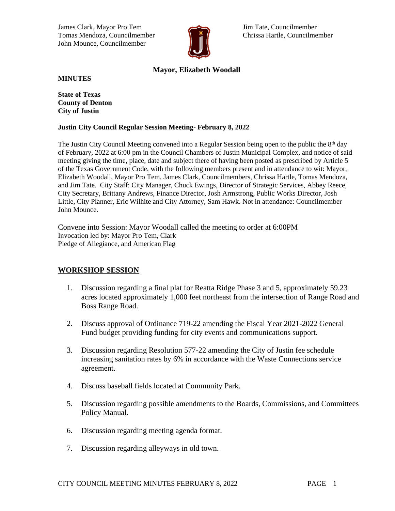James Clark, Mayor Pro Tem Jim Tate, Councilmember Tomas Mendoza, Councilmember **Chrissa Hartle, Councilmember** Chrissa Hartle, Councilmember John Mounce, Councilmember



# **Mayor, Elizabeth Woodall**

**MINUTES**

**State of Texas County of Denton City of Justin**

#### **Justin City Council Regular Session Meeting- February 8, 2022**

The Justin City Council Meeting convened into a Regular Session being open to the public the 8<sup>th</sup> day of February, 2022 at 6:00 pm in the Council Chambers of Justin Municipal Complex, and notice of said meeting giving the time, place, date and subject there of having been posted as prescribed by Article 5 of the Texas Government Code, with the following members present and in attendance to wit: Mayor, Elizabeth Woodall, Mayor Pro Tem, James Clark, Councilmembers, Chrissa Hartle, Tomas Mendoza, and Jim Tate. City Staff: City Manager, Chuck Ewings, Director of Strategic Services, Abbey Reece, City Secretary, Brittany Andrews, Finance Director, Josh Armstrong, Public Works Director, Josh Little, City Planner, Eric Wilhite and City Attorney, Sam Hawk. Not in attendance: Councilmember John Mounce.

Convene into Session: Mayor Woodall called the meeting to order at 6:00PM Invocation led by: Mayor Pro Tem, Clark Pledge of Allegiance, and American Flag

## **WORKSHOP SESSION**

- 1. Discussion regarding a final plat for Reatta Ridge Phase 3 and 5, approximately 59.23 acres located approximately 1,000 feet northeast from the intersection of Range Road and Boss Range Road.
- 2. Discuss approval of Ordinance 719-22 amending the Fiscal Year 2021-2022 General Fund budget providing funding for city events and communications support.
- 3. Discussion regarding Resolution 577-22 amending the City of Justin fee schedule increasing sanitation rates by 6% in accordance with the Waste Connections service agreement.
- 4. Discuss baseball fields located at Community Park.
- 5. Discussion regarding possible amendments to the Boards, Commissions, and Committees Policy Manual.
- 6. Discussion regarding meeting agenda format.
- 7. Discussion regarding alleyways in old town.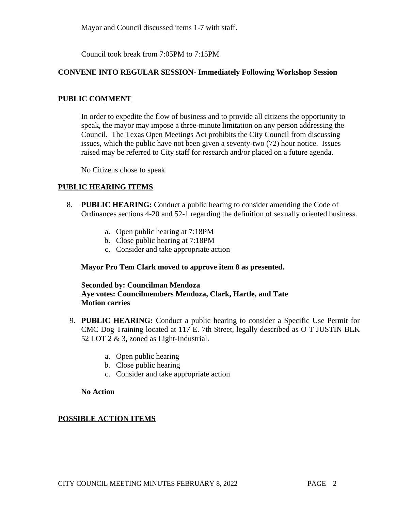Mayor and Council discussed items 1-7 with staff.

Council took break from 7:05PM to 7:15PM

### **CONVENE INTO REGULAR SESSION- Immediately Following Workshop Session**

### **PUBLIC COMMENT**

In order to expedite the flow of business and to provide all citizens the opportunity to speak, the mayor may impose a three-minute limitation on any person addressing the Council. The Texas Open Meetings Act prohibits the City Council from discussing issues, which the public have not been given a seventy-two (72) hour notice. Issues raised may be referred to City staff for research and/or placed on a future agenda.

No Citizens chose to speak

### **PUBLIC HEARING ITEMS**

- 8. **PUBLIC HEARING:** Conduct a public hearing to consider amending the Code of Ordinances sections 4-20 and 52-1 regarding the definition of sexually oriented business.
	- a. Open public hearing at 7:18PM
	- b. Close public hearing at 7:18PM
	- c. Consider and take appropriate action

#### **Mayor Pro Tem Clark moved to approve item 8 as presented.**

### **Seconded by: Councilman Mendoza Aye votes: Councilmembers Mendoza, Clark, Hartle, and Tate Motion carries**

- 9. **PUBLIC HEARING:** Conduct a public hearing to consider a Specific Use Permit for CMC Dog Training located at 117 E. 7th Street, legally described as O T JUSTIN BLK 52 LOT 2 & 3, zoned as Light-Industrial.
	- a. Open public hearing
	- b. Close public hearing
	- c. Consider and take appropriate action

#### **No Action**

## **POSSIBLE ACTION ITEMS**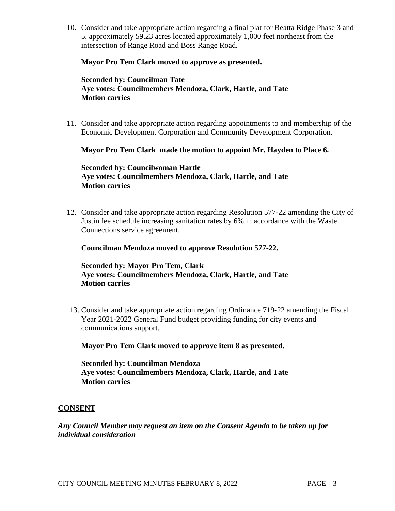10. Consider and take appropriate action regarding a final plat for Reatta Ridge Phase 3 and 5, approximately 59.23 acres located approximately 1,000 feet northeast from the intersection of Range Road and Boss Range Road.

#### **Mayor Pro Tem Clark moved to approve as presented.**

### **Seconded by: Councilman Tate Aye votes: Councilmembers Mendoza, Clark, Hartle, and Tate Motion carries**

11. Consider and take appropriate action regarding appointments to and membership of the Economic Development Corporation and Community Development Corporation.

### **Mayor Pro Tem Clark made the motion to appoint Mr. Hayden to Place 6.**

**Seconded by: Councilwoman Hartle Aye votes: Councilmembers Mendoza, Clark, Hartle, and Tate Motion carries**

12. Consider and take appropriate action regarding Resolution 577-22 amending the City of Justin fee schedule increasing sanitation rates by 6% in accordance with the Waste Connections service agreement.

#### **Councilman Mendoza moved to approve Resolution 577-22.**

### **Seconded by: Mayor Pro Tem, Clark Aye votes: Councilmembers Mendoza, Clark, Hartle, and Tate Motion carries**

13. Consider and take appropriate action regarding Ordinance 719-22 amending the Fiscal Year 2021-2022 General Fund budget providing funding for city events and communications support.

**Mayor Pro Tem Clark moved to approve item 8 as presented.**

**Seconded by: Councilman Mendoza Aye votes: Councilmembers Mendoza, Clark, Hartle, and Tate Motion carries**

#### **CONSENT**

*Any Council Member may request an item on the Consent Agenda to be taken up for individual consideration*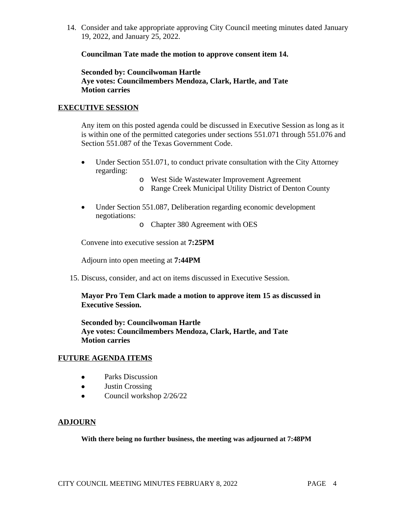14. Consider and take appropriate approving City Council meeting minutes dated January 19, 2022, and January 25, 2022.

**Councilman Tate made the motion to approve consent item 14.**

**Seconded by: Councilwoman Hartle Aye votes: Councilmembers Mendoza, Clark, Hartle, and Tate Motion carries**

### **EXECUTIVE SESSION**

Any item on this posted agenda could be discussed in Executive Session as long as it is within one of the permitted categories under sections 551.071 through 551.076 and Section 551.087 of the Texas Government Code.

- Under Section 551.071, to conduct private consultation with the City Attorney regarding:
	- o West Side Wastewater Improvement Agreement
	- o Range Creek Municipal Utility District of Denton County
- Under Section 551.087, Deliberation regarding economic development negotiations:
	- o Chapter 380 Agreement with OES

Convene into executive session at **7:25PM**

Adjourn into open meeting at **7:44PM**

15. Discuss, consider, and act on items discussed in Executive Session.

**Mayor Pro Tem Clark made a motion to approve item 15 as discussed in Executive Session.** 

**Seconded by: Councilwoman Hartle Aye votes: Councilmembers Mendoza, Clark, Hartle, and Tate Motion carries**

## **FUTURE AGENDA ITEMS**

- Parks Discussion
- Justin Crossing
- $\bullet$  Council workshop 2/26/22

## **ADJOURN**

**With there being no further business, the meeting was adjourned at 7:48PM**